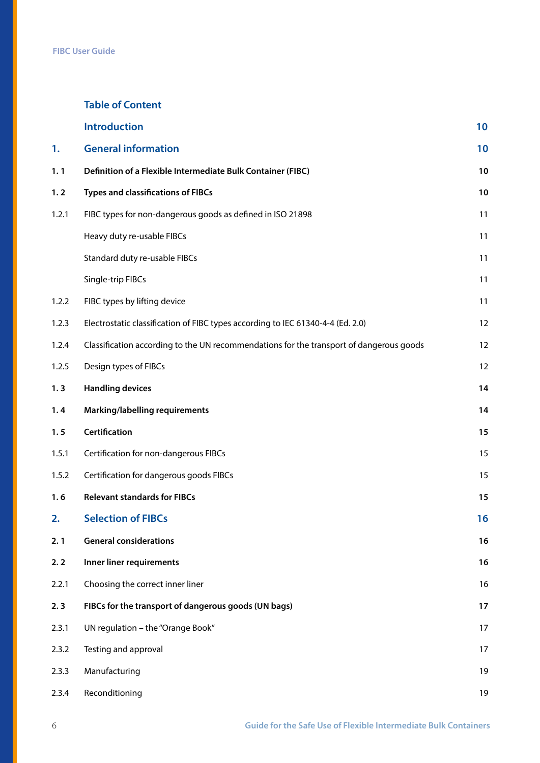## **Table of Content**

|       | <b>Introduction</b>                                                                     | 10 |
|-------|-----------------------------------------------------------------------------------------|----|
| 1.    | <b>General information</b>                                                              | 10 |
| 1.1   | Definition of a Flexible Intermediate Bulk Container (FIBC)                             | 10 |
| 1.2   | <b>Types and classifications of FIBCs</b>                                               | 10 |
| 1.2.1 | FIBC types for non-dangerous goods as defined in ISO 21898                              | 11 |
|       | Heavy duty re-usable FIBCs                                                              | 11 |
|       | Standard duty re-usable FIBCs                                                           | 11 |
|       | Single-trip FIBCs                                                                       | 11 |
| 1.2.2 | FIBC types by lifting device                                                            | 11 |
| 1.2.3 | Electrostatic classification of FIBC types according to IEC 61340-4-4 (Ed. 2.0)         | 12 |
| 1.2.4 | Classification according to the UN recommendations for the transport of dangerous goods | 12 |
| 1.2.5 | Design types of FIBCs                                                                   | 12 |
| 1.3   | <b>Handling devices</b>                                                                 | 14 |
| 1.4   | <b>Marking/labelling requirements</b>                                                   | 14 |
| 1.5   | <b>Certification</b>                                                                    | 15 |
| 1.5.1 | Certification for non-dangerous FIBCs                                                   | 15 |
| 1.5.2 | Certification for dangerous goods FIBCs                                                 | 15 |
| 1.6   | <b>Relevant standards for FIBCs</b>                                                     | 15 |
| 2.    | <b>Selection of FIBCs</b>                                                               | 16 |
| 2.1   | <b>General considerations</b>                                                           | 16 |
| 2.2   | Inner liner requirements                                                                | 16 |
| 2.2.1 | Choosing the correct inner liner                                                        | 16 |
| 2.3   | FIBCs for the transport of dangerous goods (UN bags)                                    | 17 |
| 2.3.1 | UN regulation - the "Orange Book"                                                       | 17 |
| 2.3.2 | Testing and approval                                                                    | 17 |
| 2.3.3 | Manufacturing                                                                           | 19 |
| 2.3.4 | Reconditioning                                                                          | 19 |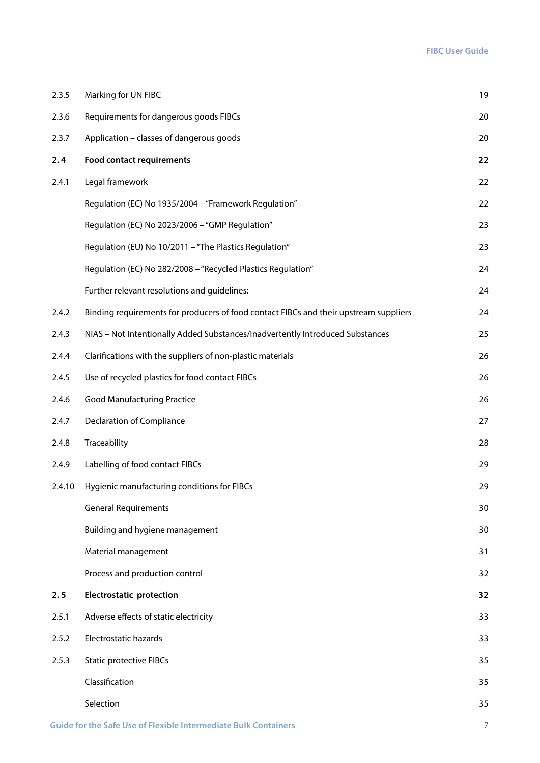| 2.3.5  | Marking for UN FIBC                                                                   | 19 |
|--------|---------------------------------------------------------------------------------------|----|
| 2.3.6  | Requirements for dangerous goods FIBCs                                                | 20 |
| 2.3.7  | Application - classes of dangerous goods                                              | 20 |
| 2.4    | <b>Food contact requirements</b>                                                      | 22 |
| 2.4.1  | Legal framework                                                                       | 22 |
|        | Regulation (EC) No 1935/2004 - "Framework Regulation"                                 | 22 |
|        | Regulation (EC) No 2023/2006 - "GMP Regulation"                                       | 23 |
|        | Regulation (EU) No 10/2011 - "The Plastics Regulation"                                | 23 |
|        | Regulation (EC) No 282/2008 - "Recycled Plastics Regulation"                          | 24 |
|        | Further relevant resolutions and guidelines:                                          | 24 |
| 2.4.2  | Binding requirements for producers of food contact FIBCs and their upstream suppliers | 24 |
| 2.4.3  | NIAS - Not Intentionally Added Substances/Inadvertently Introduced Substances         | 25 |
| 2.4.4  | Clarifications with the suppliers of non-plastic materials                            | 26 |
| 2.4.5  | Use of recycled plastics for food contact FIBCs                                       | 26 |
| 2.4.6  | <b>Good Manufacturing Practice</b>                                                    | 26 |
| 2.4.7  | Declaration of Compliance                                                             | 27 |
| 2.4.8  | Traceability                                                                          | 28 |
| 2.4.9  | Labelling of food contact FIBCs                                                       | 29 |
| 2.4.10 | Hygienic manufacturing conditions for FIBCs                                           | 29 |
|        | <b>General Requirements</b>                                                           | 30 |
|        | Building and hygiene management                                                       | 30 |
|        | Material management                                                                   | 31 |
|        | Process and production control                                                        | 32 |
| 2.5    | <b>Electrostatic protection</b>                                                       | 32 |
| 2.5.1  | Adverse effects of static electricity                                                 | 33 |
| 2.5.2  | Electrostatic hazards                                                                 | 33 |
| 2.5.3  | <b>Static protective FIBCs</b>                                                        | 35 |
|        | Classification                                                                        | 35 |
|        | Selection                                                                             | 35 |
|        |                                                                                       |    |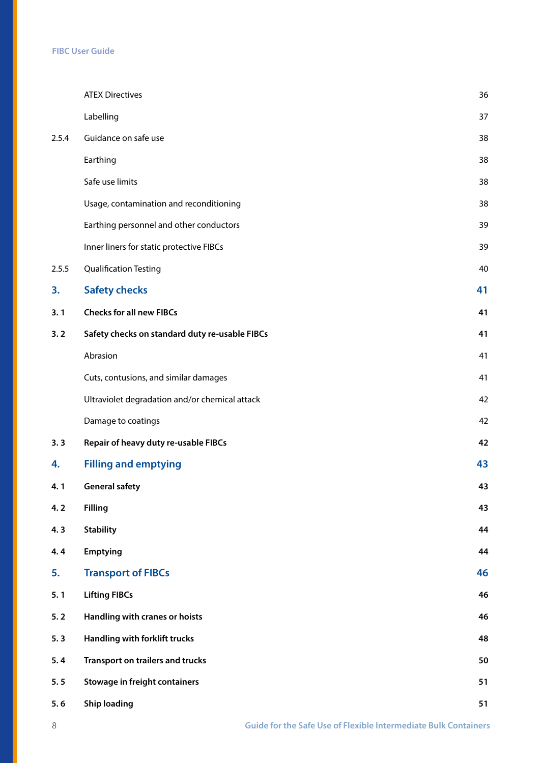|       | <b>ATEX Directives</b>                         | 36 |
|-------|------------------------------------------------|----|
|       | Labelling                                      | 37 |
| 2.5.4 | Guidance on safe use                           | 38 |
|       | Earthing                                       | 38 |
|       | Safe use limits                                | 38 |
|       | Usage, contamination and reconditioning        | 38 |
|       | Earthing personnel and other conductors        | 39 |
|       | Inner liners for static protective FIBCs       | 39 |
| 2.5.5 | <b>Qualification Testing</b>                   | 40 |
| 3.    | <b>Safety checks</b>                           | 41 |
| 3.1   | <b>Checks for all new FIBCs</b>                | 41 |
| 3.2   | Safety checks on standard duty re-usable FIBCs | 41 |
|       | Abrasion                                       | 41 |
|       | Cuts, contusions, and similar damages          | 41 |
|       | Ultraviolet degradation and/or chemical attack | 42 |
|       | Damage to coatings                             | 42 |
| 3.3   | Repair of heavy duty re-usable FIBCs           | 42 |
| 4.    | <b>Filling and emptying</b>                    | 43 |
| 4.1   | <b>General safety</b>                          | 43 |
| 4.2   | <b>Filling</b>                                 | 43 |
| 4.3   | <b>Stability</b>                               | 44 |
| 4.4   | <b>Emptying</b>                                | 44 |
| 5.    | <b>Transport of FIBCs</b>                      | 46 |
| 5.1   | <b>Lifting FIBCs</b>                           | 46 |
| 5.2   | Handling with cranes or hoists                 | 46 |
| 5.3   | Handling with forklift trucks                  | 48 |
| 5.4   | Transport on trailers and trucks               | 50 |
| 5.5   | <b>Stowage in freight containers</b>           | 51 |
| 5.6   | <b>Ship loading</b>                            | 51 |